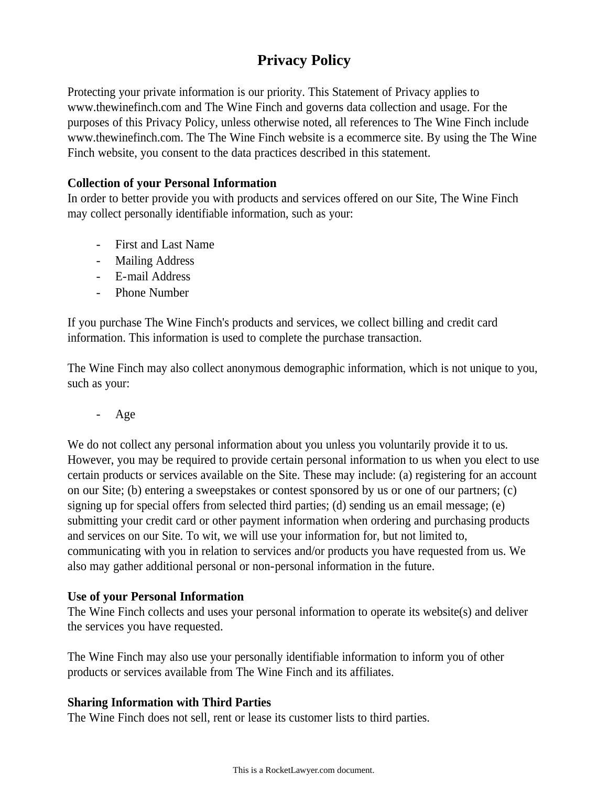# **Privacy Policy**

Protecting your private information is our priority. This Statement of Privacy applies to www.thewinefinch.com and The Wine Finch and governs data collection and usage. For the purposes of this Privacy Policy, unless otherwise noted, all references to The Wine Finch include www.thewinefinch.com. The The Wine Finch website is a ecommerce site. By using the The Wine Finch website, you consent to the data practices described in this statement.

#### **Collection of your Personal Information**

In order to better provide you with products and services offered on our Site, The Wine Finch may collect personally identifiable information, such as your:

- First and Last Name
- Mailing Address
- E-mail Address
- Phone Number

If you purchase The Wine Finch's products and services, we collect billing and credit card information. This information is used to complete the purchase transaction.

The Wine Finch may also collect anonymous demographic information, which is not unique to you, such as your:

- Age

We do not collect any personal information about you unless you voluntarily provide it to us. However, you may be required to provide certain personal information to us when you elect to use certain products or services available on the Site. These may include: (a) registering for an account on our Site; (b) entering a sweepstakes or contest sponsored by us or one of our partners; (c) signing up for special offers from selected third parties; (d) sending us an email message; (e) submitting your credit card or other payment information when ordering and purchasing products and services on our Site. To wit, we will use your information for, but not limited to, communicating with you in relation to services and/or products you have requested from us. We also may gather additional personal or non-personal information in the future.

#### **Use of your Personal Information**

The Wine Finch collects and uses your personal information to operate its website(s) and deliver the services you have requested.

The Wine Finch may also use your personally identifiable information to inform you of other products or services available from The Wine Finch and its affiliates.

#### **Sharing Information with Third Parties**

The Wine Finch does not sell, rent or lease its customer lists to third parties.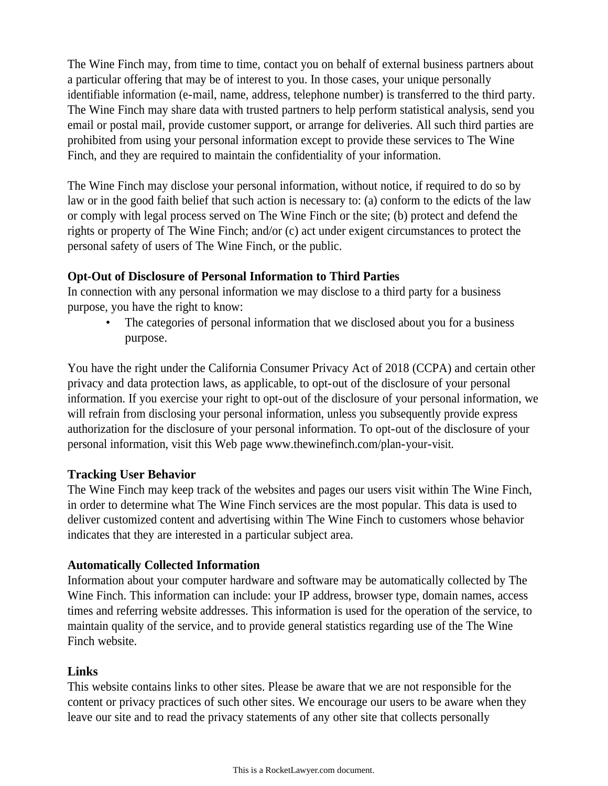The Wine Finch may, from time to time, contact you on behalf of external business partners about a particular offering that may be of interest to you. In those cases, your unique personally identifiable information (e-mail, name, address, telephone number) is transferred to the third party. The Wine Finch may share data with trusted partners to help perform statistical analysis, send you email or postal mail, provide customer support, or arrange for deliveries. All such third parties are prohibited from using your personal information except to provide these services to The Wine Finch, and they are required to maintain the confidentiality of your information.

The Wine Finch may disclose your personal information, without notice, if required to do so by law or in the good faith belief that such action is necessary to: (a) conform to the edicts of the law or comply with legal process served on The Wine Finch or the site; (b) protect and defend the rights or property of The Wine Finch; and/or (c) act under exigent circumstances to protect the personal safety of users of The Wine Finch, or the public.

## **Opt-Out of Disclosure of Personal Information to Third Parties**

In connection with any personal information we may disclose to a third party for a business purpose, you have the right to know:

The categories of personal information that we disclosed about you for a business purpose.

You have the right under the California Consumer Privacy Act of 2018 (CCPA) and certain other privacy and data protection laws, as applicable, to opt-out of the disclosure of your personal information. If you exercise your right to opt-out of the disclosure of your personal information, we will refrain from disclosing your personal information, unless you subsequently provide express authorization for the disclosure of your personal information. To opt-out of the disclosure of your personal information, visit this Web page www.thewinefinch.com/plan-your-visit.

## **Tracking User Behavior**

The Wine Finch may keep track of the websites and pages our users visit within The Wine Finch, in order to determine what The Wine Finch services are the most popular. This data is used to deliver customized content and advertising within The Wine Finch to customers whose behavior indicates that they are interested in a particular subject area.

# **Automatically Collected Information**

Information about your computer hardware and software may be automatically collected by The Wine Finch. This information can include: your IP address, browser type, domain names, access times and referring website addresses. This information is used for the operation of the service, to maintain quality of the service, and to provide general statistics regarding use of the The Wine Finch website.

# **Links**

This website contains links to other sites. Please be aware that we are not responsible for the content or privacy practices of such other sites. We encourage our users to be aware when they leave our site and to read the privacy statements of any other site that collects personally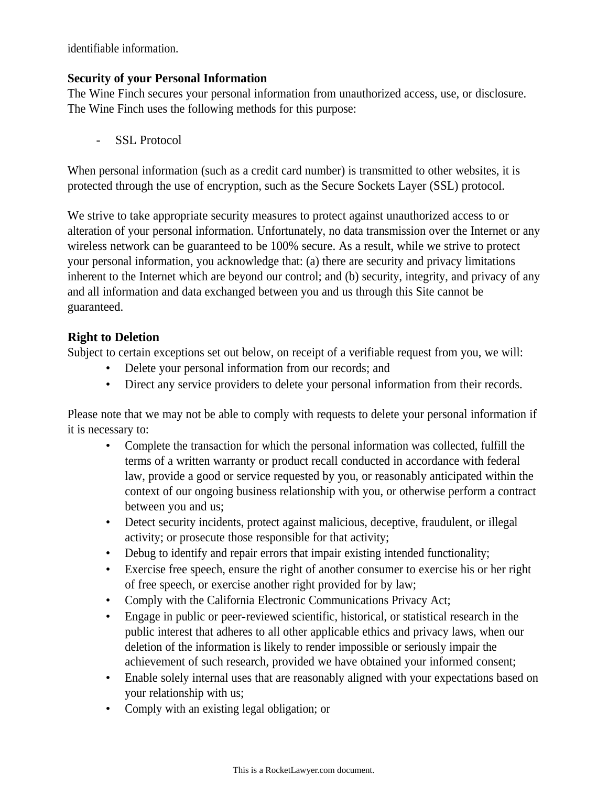identifiable information.

## **Security of your Personal Information**

The Wine Finch secures your personal information from unauthorized access, use, or disclosure. The Wine Finch uses the following methods for this purpose:

SSL Protocol

When personal information (such as a credit card number) is transmitted to other websites, it is protected through the use of encryption, such as the Secure Sockets Layer (SSL) protocol.

We strive to take appropriate security measures to protect against unauthorized access to or alteration of your personal information. Unfortunately, no data transmission over the Internet or any wireless network can be guaranteed to be 100% secure. As a result, while we strive to protect your personal information, you acknowledge that: (a) there are security and privacy limitations inherent to the Internet which are beyond our control; and (b) security, integrity, and privacy of any and all information and data exchanged between you and us through this Site cannot be guaranteed.

# **Right to Deletion**

Subject to certain exceptions set out below, on receipt of a verifiable request from you, we will:

- Delete your personal information from our records; and
- Direct any service providers to delete your personal information from their records.

Please note that we may not be able to comply with requests to delete your personal information if it is necessary to:

- Complete the transaction for which the personal information was collected, fulfill the terms of a written warranty or product recall conducted in accordance with federal law, provide a good or service requested by you, or reasonably anticipated within the context of our ongoing business relationship with you, or otherwise perform a contract between you and us;
- Detect security incidents, protect against malicious, deceptive, fraudulent, or illegal activity; or prosecute those responsible for that activity;
- Debug to identify and repair errors that impair existing intended functionality;
- Exercise free speech, ensure the right of another consumer to exercise his or her right of free speech, or exercise another right provided for by law;
- Comply with the California Electronic Communications Privacy Act;
- Engage in public or peer-reviewed scientific, historical, or statistical research in the public interest that adheres to all other applicable ethics and privacy laws, when our deletion of the information is likely to render impossible or seriously impair the achievement of such research, provided we have obtained your informed consent;
- Enable solely internal uses that are reasonably aligned with your expectations based on your relationship with us;
- Comply with an existing legal obligation; or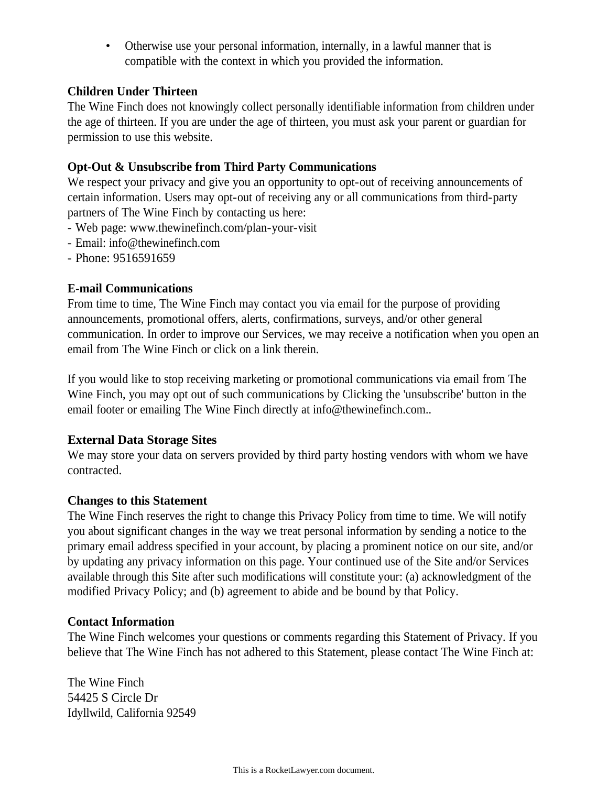• Otherwise use your personal information, internally, in a lawful manner that is compatible with the context in which you provided the information.

#### **Children Under Thirteen**

The Wine Finch does not knowingly collect personally identifiable information from children under the age of thirteen. If you are under the age of thirteen, you must ask your parent or guardian for permission to use this website.

## **Opt-Out & Unsubscribe from Third Party Communications**

We respect your privacy and give you an opportunity to opt-out of receiving announcements of certain information. Users may opt-out of receiving any or all communications from third-party partners of The Wine Finch by contacting us here:

- Web page: www.thewinefinch.com/plan-your-visit
- Email: info@thewinefinch.com
- Phone: 9516591659

## **E-mail Communications**

From time to time, The Wine Finch may contact you via email for the purpose of providing announcements, promotional offers, alerts, confirmations, surveys, and/or other general communication. In order to improve our Services, we may receive a notification when you open an email from The Wine Finch or click on a link therein.

If you would like to stop receiving marketing or promotional communications via email from The Wine Finch, you may opt out of such communications by Clicking the 'unsubscribe' button in the email footer or emailing The Wine Finch directly at info@thewinefinch.com..

## **External Data Storage Sites**

We may store your data on servers provided by third party hosting vendors with whom we have contracted.

#### **Changes to this Statement**

The Wine Finch reserves the right to change this Privacy Policy from time to time. We will notify you about significant changes in the way we treat personal information by sending a notice to the primary email address specified in your account, by placing a prominent notice on our site, and/or by updating any privacy information on this page. Your continued use of the Site and/or Services available through this Site after such modifications will constitute your: (a) acknowledgment of the modified Privacy Policy; and (b) agreement to abide and be bound by that Policy.

#### **Contact Information**

The Wine Finch welcomes your questions or comments regarding this Statement of Privacy. If you believe that The Wine Finch has not adhered to this Statement, please contact The Wine Finch at:

The Wine Finch 54425 S Circle Dr Idyllwild, California 92549